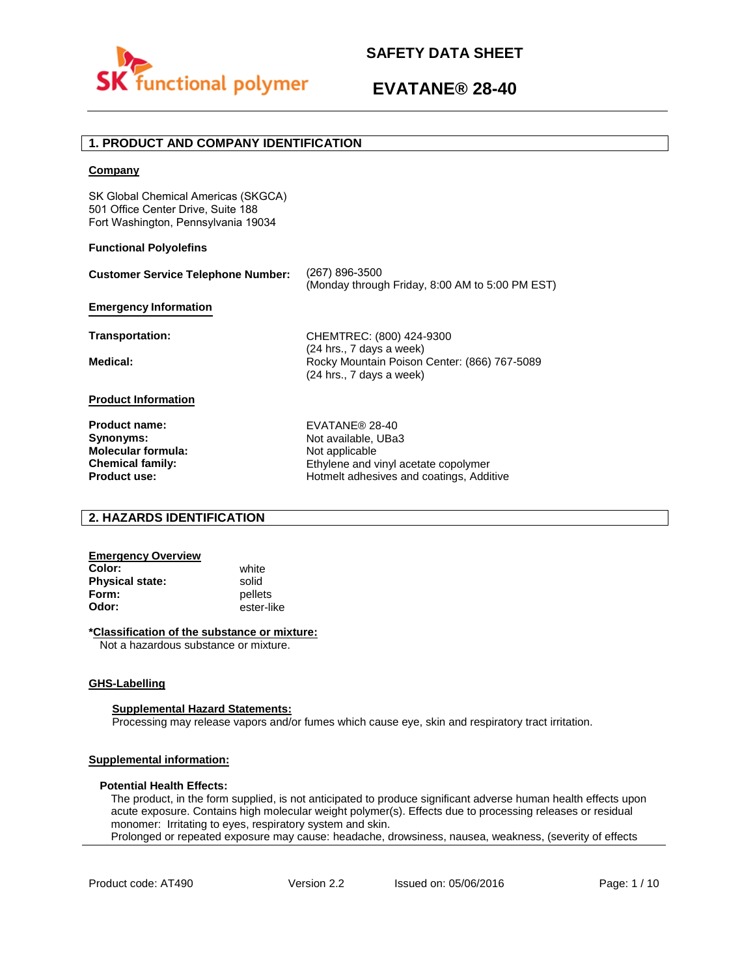

# **1. PRODUCT AND COMPANY IDENTIFICATION**

## **Company**

SK Global Chemical Americas (SKGCA) 501 Office Center Drive, Suite 188 Fort Washington, Pennsylvania 19034

## **Functional Polyolefins**

| <b>Customer Service Telephone Number:</b> | (267) 896-3500<br>(Monday through Friday, 8:00 AM to 5:00 PM EST)                                    |
|-------------------------------------------|------------------------------------------------------------------------------------------------------|
| <b>Emergency Information</b>              |                                                                                                      |
| Transportation:                           | CHEMTREC: (800) 424-9300                                                                             |
| Medical:                                  | (24 hrs., 7 days a week)<br>Rocky Mountain Poison Center: (866) 767-5089<br>(24 hrs., 7 days a week) |
| <b>Product Information</b>                |                                                                                                      |
| <b>Product name:</b>                      | EVATANE® 28-40                                                                                       |
| Synonyms:                                 | Not available, UBa3                                                                                  |
| <b>Molecular formula:</b>                 | Not applicable                                                                                       |
| <b>Chemical family:</b>                   | Ethylene and vinyl acetate copolymer                                                                 |

# **2. HAZARDS IDENTIFICATION**

## **Emergency Overview**

**Color:** white **Physical state:** solid<br> **Form:** nellet **Form:** pellets<br> **Odor:** ester-li

**Product use:**

**Odor:** ester-like

## **\*Classification of the substance or mixture:**

Not a hazardous substance or mixture.

## **GHS-Labelling**

### **Supplemental Hazard Statements:**

Processing may release vapors and/or fumes which cause eye, skin and respiratory tract irritation.

# **Supplemental information:**

## **Potential Health Effects:**

The product, in the form supplied, is not anticipated to produce significant adverse human health effects upon acute exposure. Contains high molecular weight polymer(s). Effects due to processing releases or residual monomer: Irritating to eyes, respiratory system and skin. Prolonged or repeated exposure may cause: headache, drowsiness, nausea, weakness, (severity of effects

Hotmelt adhesives and coatings, Additive

Product code: AT490 Version 2.2 Issued on: 05/06/2016 Page: 1/10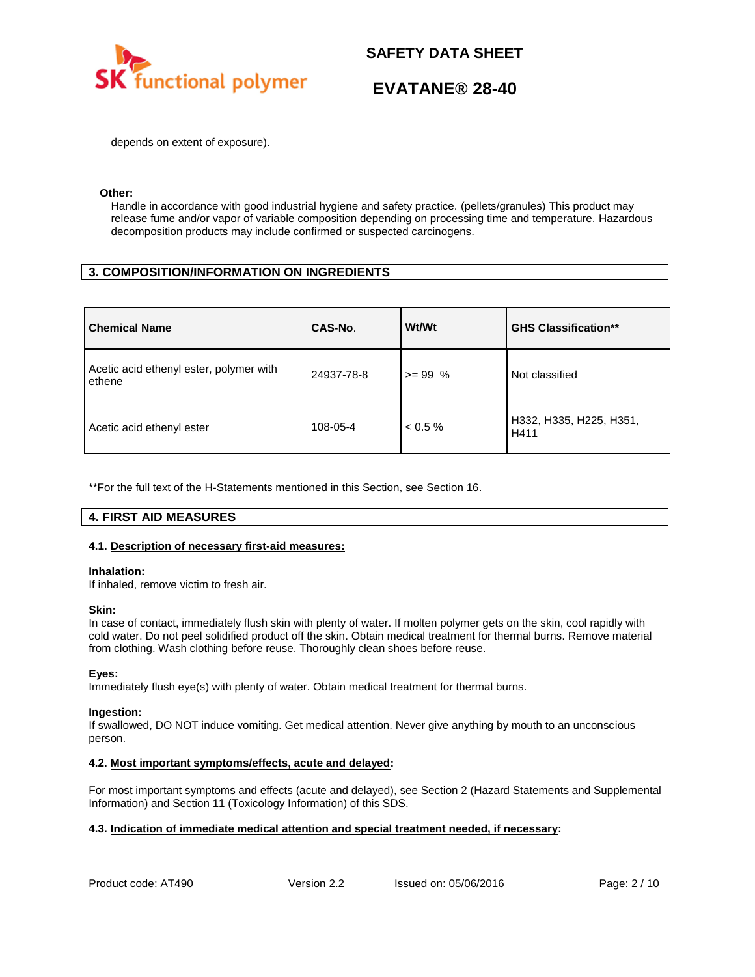

depends on extent of exposure).

## **Other:**

Handle in accordance with good industrial hygiene and safety practice. (pellets/granules) This product may release fume and/or vapor of variable composition depending on processing time and temperature. Hazardous decomposition products may include confirmed or suspected carcinogens.

# **3. COMPOSITION/INFORMATION ON INGREDIENTS**

| <b>Chemical Name</b>                              | CAS-No.    | Wt/Wt      | <b>GHS Classification**</b>     |
|---------------------------------------------------|------------|------------|---------------------------------|
| Acetic acid ethenyl ester, polymer with<br>ethene | 24937-78-8 | $>= 99 %$  | Not classified                  |
| Acetic acid ethenyl ester                         | 108-05-4   | $< 0.5 \%$ | H332, H335, H225, H351,<br>H411 |

\*\*For the full text of the H-Statements mentioned in this Section, see Section 16.

# **4. FIRST AID MEASURES**

## **4.1. Description of necessary first-aid measures:**

### **Inhalation:**

If inhaled, remove victim to fresh air.

### **Skin:**

In case of contact, immediately flush skin with plenty of water. If molten polymer gets on the skin, cool rapidly with cold water. Do not peel solidified product off the skin. Obtain medical treatment for thermal burns. Remove material from clothing. Wash clothing before reuse. Thoroughly clean shoes before reuse.

## **Eyes:**

Immediately flush eye(s) with plenty of water. Obtain medical treatment for thermal burns.

### **Ingestion:**

If swallowed, DO NOT induce vomiting. Get medical attention. Never give anything by mouth to an unconscious person.

## **4.2. Most important symptoms/effects, acute and delayed:**

For most important symptoms and effects (acute and delayed), see Section 2 (Hazard Statements and Supplemental Information) and Section 11 (Toxicology Information) of this SDS.

# **4.3. Indication of immediate medical attention and special treatment needed, if necessary:**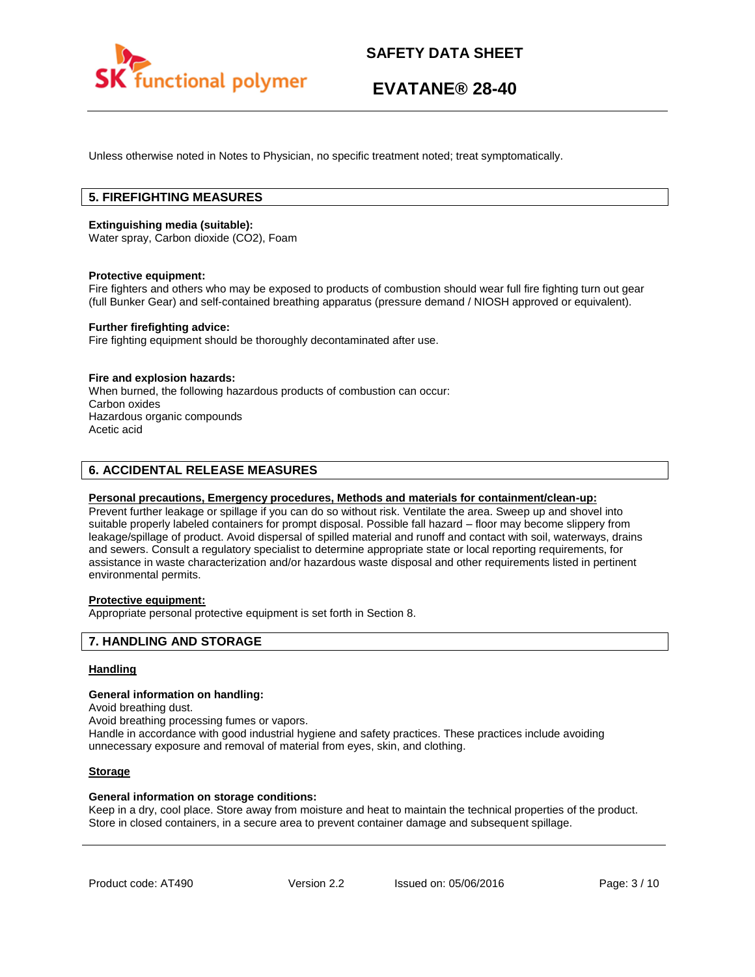

Unless otherwise noted in Notes to Physician, no specific treatment noted; treat symptomatically.

# **5. FIREFIGHTING MEASURES**

### **Extinguishing media (suitable):**

Water spray, Carbon dioxide (CO2), Foam

### **Protective equipment:**

Fire fighters and others who may be exposed to products of combustion should wear full fire fighting turn out gear (full Bunker Gear) and self-contained breathing apparatus (pressure demand / NIOSH approved or equivalent).

## **Further firefighting advice:**

Fire fighting equipment should be thoroughly decontaminated after use.

### **Fire and explosion hazards:**

When burned, the following hazardous products of combustion can occur: Carbon oxides Hazardous organic compounds Acetic acid

# **6. ACCIDENTAL RELEASE MEASURES**

## **Personal precautions, Emergency procedures, Methods and materials for containment/clean-up:**

Prevent further leakage or spillage if you can do so without risk. Ventilate the area. Sweep up and shovel into suitable properly labeled containers for prompt disposal. Possible fall hazard – floor may become slippery from leakage/spillage of product. Avoid dispersal of spilled material and runoff and contact with soil, waterways, drains and sewers. Consult a regulatory specialist to determine appropriate state or local reporting requirements, for assistance in waste characterization and/or hazardous waste disposal and other requirements listed in pertinent environmental permits.

# **Protective equipment:**

Appropriate personal protective equipment is set forth in Section 8.

## **7. HANDLING AND STORAGE**

## **Handling**

#### **General information on handling:**

Avoid breathing dust.

Avoid breathing processing fumes or vapors.

Handle in accordance with good industrial hygiene and safety practices. These practices include avoiding unnecessary exposure and removal of material from eyes, skin, and clothing.

## **Storage**

### **General information on storage conditions:**

Keep in a dry, cool place. Store away from moisture and heat to maintain the technical properties of the product. Store in closed containers, in a secure area to prevent container damage and subsequent spillage.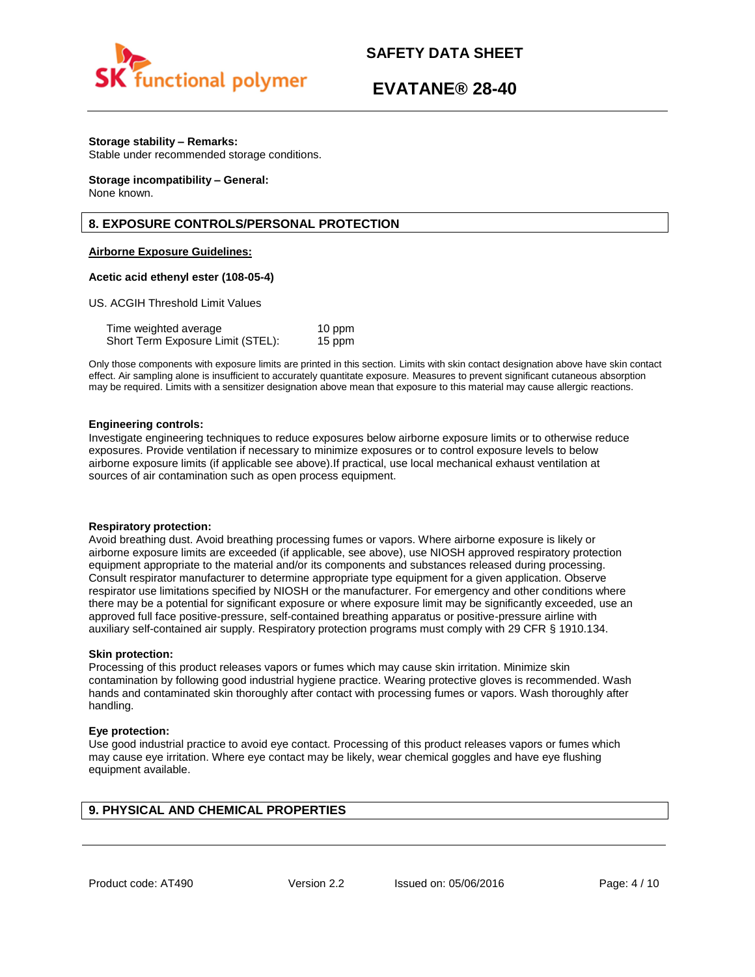

# **EVATANE® 28-40**

## **Storage stability – Remarks:**

Stable under recommended storage conditions.

#### **Storage incompatibility – General:**  None known.

# **8. EXPOSURE CONTROLS/PERSONAL PROTECTION**

## **Airborne Exposure Guidelines:**

### **Acetic acid ethenyl ester (108-05-4)**

US. ACGIH Threshold Limit Values

| Time weighted average             | 10 ppm |
|-----------------------------------|--------|
| Short Term Exposure Limit (STEL): | 15 ppm |

Only those components with exposure limits are printed in this section. Limits with skin contact designation above have skin contact effect. Air sampling alone is insufficient to accurately quantitate exposure. Measures to prevent significant cutaneous absorption may be required. Limits with a sensitizer designation above mean that exposure to this material may cause allergic reactions.

### **Engineering controls:**

Investigate engineering techniques to reduce exposures below airborne exposure limits or to otherwise reduce exposures. Provide ventilation if necessary to minimize exposures or to control exposure levels to below airborne exposure limits (if applicable see above).If practical, use local mechanical exhaust ventilation at sources of air contamination such as open process equipment.

### **Respiratory protection:**

Avoid breathing dust. Avoid breathing processing fumes or vapors. Where airborne exposure is likely or airborne exposure limits are exceeded (if applicable, see above), use NIOSH approved respiratory protection equipment appropriate to the material and/or its components and substances released during processing. Consult respirator manufacturer to determine appropriate type equipment for a given application. Observe respirator use limitations specified by NIOSH or the manufacturer. For emergency and other conditions where there may be a potential for significant exposure or where exposure limit may be significantly exceeded, use an approved full face positive-pressure, self-contained breathing apparatus or positive-pressure airline with auxiliary self-contained air supply. Respiratory protection programs must comply with 29 CFR § 1910.134.

### **Skin protection:**

Processing of this product releases vapors or fumes which may cause skin irritation. Minimize skin contamination by following good industrial hygiene practice. Wearing protective gloves is recommended. Wash hands and contaminated skin thoroughly after contact with processing fumes or vapors. Wash thoroughly after handling.

### **Eye protection:**

Use good industrial practice to avoid eye contact. Processing of this product releases vapors or fumes which may cause eye irritation. Where eye contact may be likely, wear chemical goggles and have eye flushing equipment available.

# **9. PHYSICAL AND CHEMICAL PROPERTIES**

Product code: AT490 Version 2.2 Issued on: 05/06/2016 Page: 4/10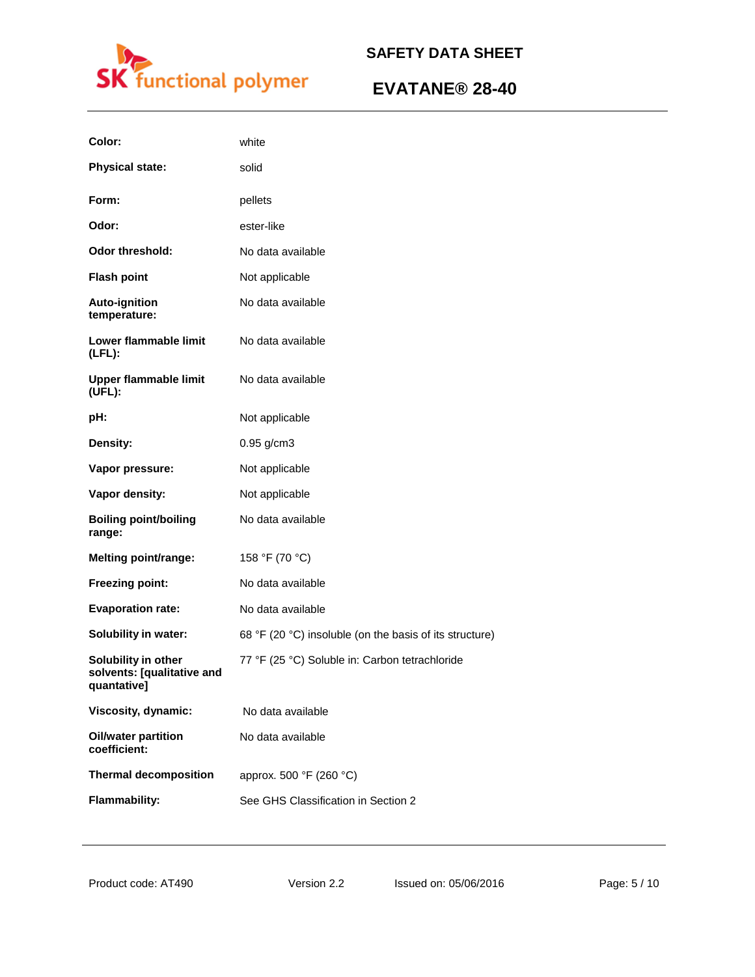

| Color:                                                           | white                                                   |
|------------------------------------------------------------------|---------------------------------------------------------|
| <b>Physical state:</b>                                           | solid                                                   |
| Form:                                                            | pellets                                                 |
| Odor:                                                            | ester-like                                              |
| <b>Odor threshold:</b>                                           | No data available                                       |
| <b>Flash point</b>                                               | Not applicable                                          |
| Auto-ignition<br>temperature:                                    | No data available                                       |
| Lower flammable limit<br>$(LFL)$ :                               | No data available                                       |
| <b>Upper flammable limit</b><br>(UFL):                           | No data available                                       |
| pH:                                                              | Not applicable                                          |
| Density:                                                         | 0.95 g/cm3                                              |
| Vapor pressure:                                                  | Not applicable                                          |
| Vapor density:                                                   | Not applicable                                          |
| <b>Boiling point/boiling</b><br>range:                           | No data available                                       |
| <b>Melting point/range:</b>                                      | 158 °F (70 °C)                                          |
| Freezing point:                                                  | No data available                                       |
| <b>Evaporation rate:</b>                                         | No data available                                       |
| <b>Solubility in water:</b>                                      | 68 °F (20 °C) insoluble (on the basis of its structure) |
| Solubility in other<br>solvents: [qualitative and<br>quantative] | 77 °F (25 °C) Soluble in: Carbon tetrachloride          |
| Viscosity, dynamic:                                              | No data available                                       |
| <b>Oil/water partition</b><br>coefficient:                       | No data available                                       |
| <b>Thermal decomposition</b>                                     | approx. 500 °F (260 °C)                                 |
| <b>Flammability:</b>                                             | See GHS Classification in Section 2                     |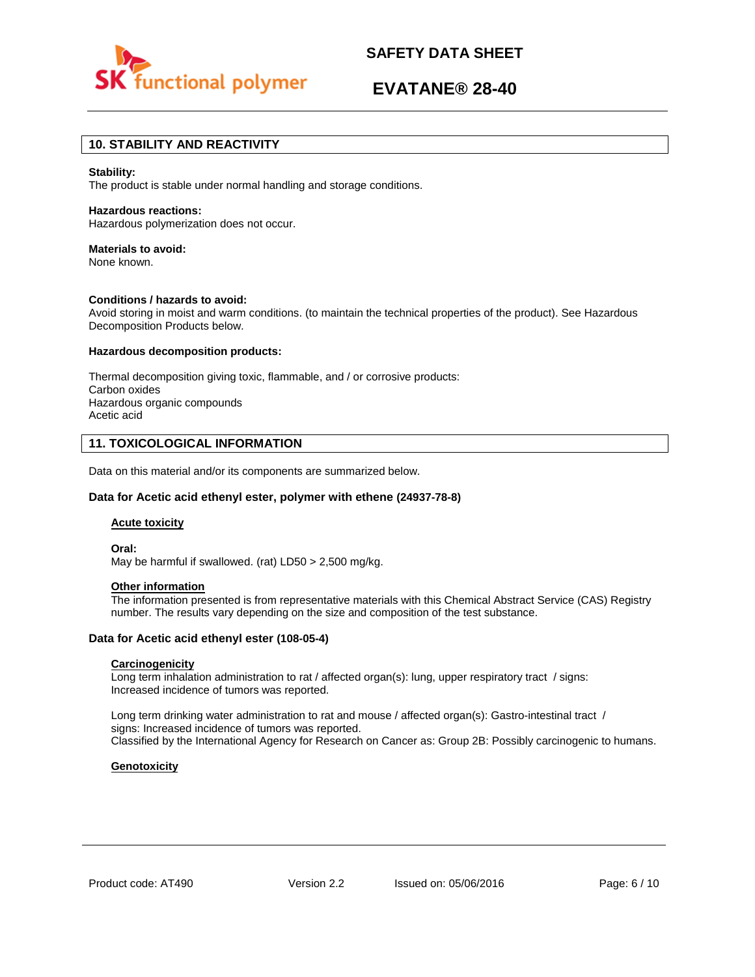

# **EVATANE® 28-40**

# **10. STABILITY AND REACTIVITY**

#### **Stability:**

The product is stable under normal handling and storage conditions.

#### **Hazardous reactions:**

Hazardous polymerization does not occur.

# **Materials to avoid:**

None known.

### **Conditions / hazards to avoid:**

Avoid storing in moist and warm conditions. (to maintain the technical properties of the product). See Hazardous Decomposition Products below.

#### **Hazardous decomposition products:**

Thermal decomposition giving toxic, flammable, and / or corrosive products: Carbon oxides Hazardous organic compounds Acetic acid

## **11. TOXICOLOGICAL INFORMATION**

Data on this material and/or its components are summarized below.

### **Data for Acetic acid ethenyl ester, polymer with ethene (24937-78-8)**

#### **Acute toxicity**

**Oral:**

May be harmful if swallowed. (rat) LD50 > 2,500 mg/kg.

## **Other information**

The information presented is from representative materials with this Chemical Abstract Service (CAS) Registry number. The results vary depending on the size and composition of the test substance.

## **Data for Acetic acid ethenyl ester (108-05-4)**

### **Carcinogenicity**

Long term inhalation administration to rat / affected organ(s): lung, upper respiratory tract / signs: Increased incidence of tumors was reported.

Long term drinking water administration to rat and mouse / affected organ(s): Gastro-intestinal tract / signs: Increased incidence of tumors was reported. Classified by the International Agency for Research on Cancer as: Group 2B: Possibly carcinogenic to humans.

### **Genotoxicity**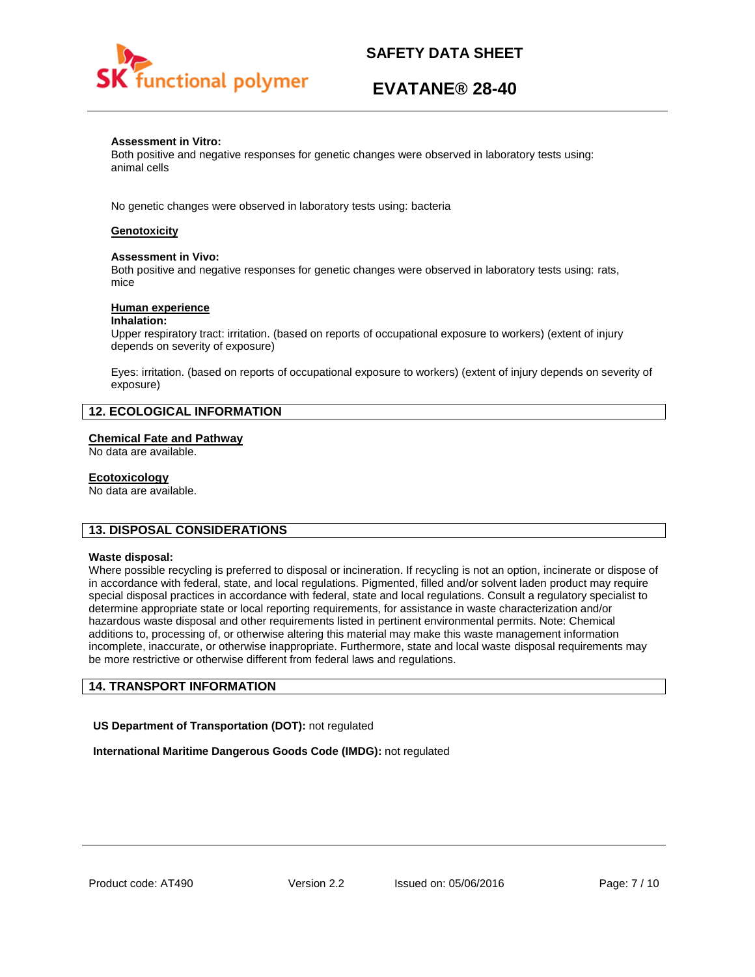

# **EVATANE® 28-40**

## **Assessment in Vitro:**

Both positive and negative responses for genetic changes were observed in laboratory tests using: animal cells

No genetic changes were observed in laboratory tests using: bacteria

# **Genotoxicity**

### **Assessment in Vivo:**

Both positive and negative responses for genetic changes were observed in laboratory tests using: rats, mice

## **Human experience**

### **Inhalation:**

Upper respiratory tract: irritation. (based on reports of occupational exposure to workers) (extent of injury depends on severity of exposure)

Eyes: irritation. (based on reports of occupational exposure to workers) (extent of injury depends on severity of exposure)

# **12. ECOLOGICAL INFORMATION**

## **Chemical Fate and Pathway**

No data are available.

## **Ecotoxicology**

No data are available.

## **13. DISPOSAL CONSIDERATIONS**

### **Waste disposal:**

Where possible recycling is preferred to disposal or incineration. If recycling is not an option, incinerate or dispose of in accordance with federal, state, and local regulations. Pigmented, filled and/or solvent laden product may require special disposal practices in accordance with federal, state and local regulations. Consult a regulatory specialist to determine appropriate state or local reporting requirements, for assistance in waste characterization and/or hazardous waste disposal and other requirements listed in pertinent environmental permits. Note: Chemical additions to, processing of, or otherwise altering this material may make this waste management information incomplete, inaccurate, or otherwise inappropriate. Furthermore, state and local waste disposal requirements may be more restrictive or otherwise different from federal laws and regulations.

# **14. TRANSPORT INFORMATION**

**US Department of Transportation (DOT):** not regulated

**International Maritime Dangerous Goods Code (IMDG):** not regulated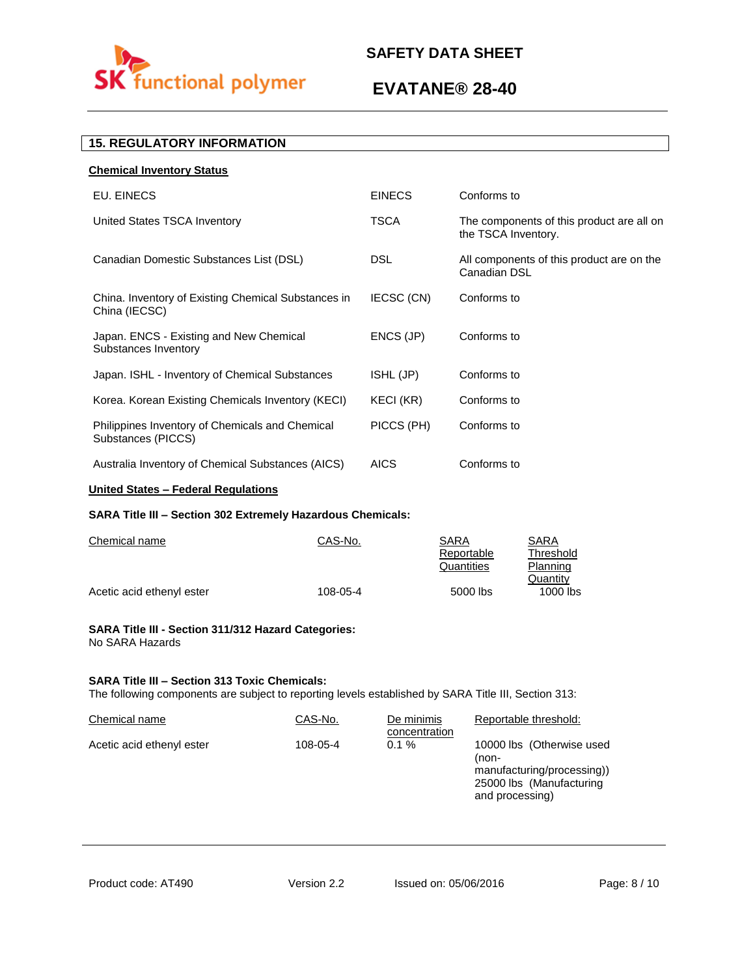

# **EVATANE® 28-40**

# **15. REGULATORY INFORMATION**

| <b>Chemical Inventory Status</b>                                      |               |                                                                  |
|-----------------------------------------------------------------------|---------------|------------------------------------------------------------------|
| EU. EINECS                                                            | <b>EINECS</b> | Conforms to                                                      |
| United States TSCA Inventory                                          | <b>TSCA</b>   | The components of this product are all on<br>the TSCA Inventory. |
| Canadian Domestic Substances List (DSL)                               | <b>DSL</b>    | All components of this product are on the<br>Canadian DSL        |
| China. Inventory of Existing Chemical Substances in<br>China (IECSC)  | IECSC (CN)    | Conforms to                                                      |
| Japan. ENCS - Existing and New Chemical<br>Substances Inventory       | ENCS (JP)     | Conforms to                                                      |
| Japan. ISHL - Inventory of Chemical Substances                        | ISHL (JP)     | Conforms to                                                      |
| Korea. Korean Existing Chemicals Inventory (KECI)                     | KECI (KR)     | Conforms to                                                      |
| Philippines Inventory of Chemicals and Chemical<br>Substances (PICCS) | PICCS (PH)    | Conforms to                                                      |
| Australia Inventory of Chemical Substances (AICS)                     | <b>AICS</b>   | Conforms to                                                      |
|                                                                       |               |                                                                  |

# **United States – Federal Regulations**

# **SARA Title III – Section 302 Extremely Hazardous Chemicals:**

| Chemical name             | CAS-No.  | SARA       | SARA       |
|---------------------------|----------|------------|------------|
|                           |          | Reportable | Threshold  |
|                           |          | Quantities | Planning   |
|                           |          |            | Quantity   |
| Acetic acid ethenyl ester | 108-05-4 | 5000 lbs   | $1000$ lbs |

### **SARA Title III - Section 311/312 Hazard Categories:**  No SARA Hazards

## **SARA Title III – Section 313 Toxic Chemicals:**

The following components are subject to reporting levels established by SARA Title III, Section 313:

| Chemical name             | CAS-No.  | De minimis<br>concentration | Reportable threshold:                                                                                           |
|---------------------------|----------|-----------------------------|-----------------------------------------------------------------------------------------------------------------|
| Acetic acid ethenyl ester | 108-05-4 | $0.1 \%$                    | 10000 lbs (Otherwise used<br>(non-<br>manufacturing/processing))<br>25000 lbs (Manufacturing<br>and processing) |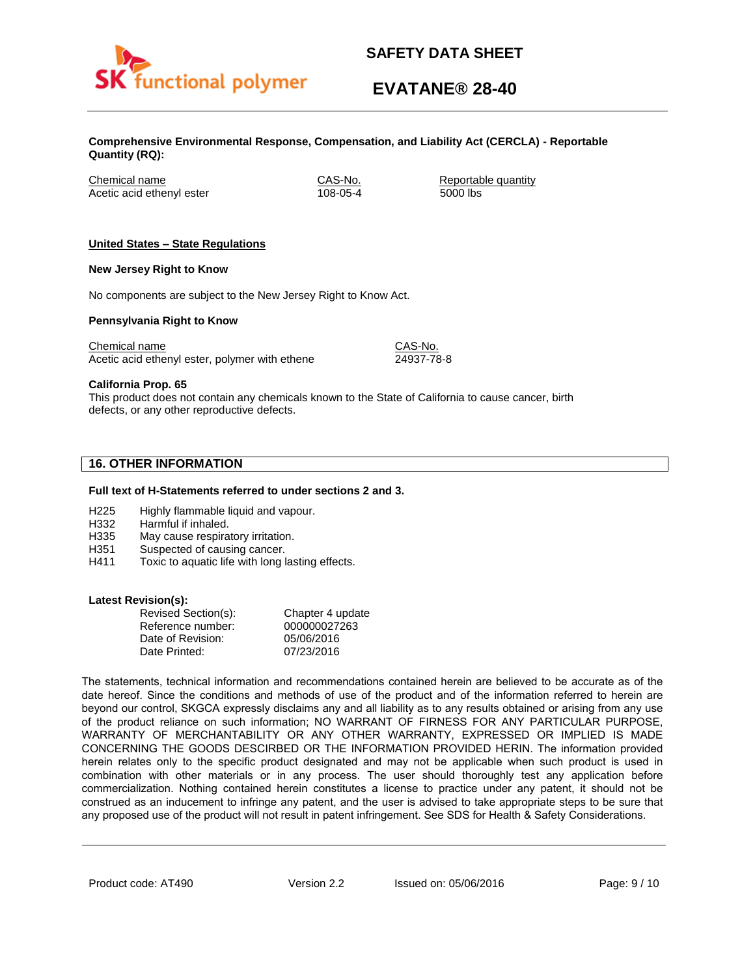

# **EVATANE® 28-40**

**Comprehensive Environmental Response, Compensation, and Liability Act (CERCLA) - Reportable Quantity (RQ):**

Chemical name CAS-No. Reportable quantity Acetic acid ethenyl ester 108-05-4 5000 lbs

## **United States – State Regulations**

## **New Jersey Right to Know**

No components are subject to the New Jersey Right to Know Act.

## **Pennsylvania Right to Know**

Chemical name Chemical name CAS-No. Acetic acid ethenyl ester, polymer with ethene 24937-78-8

**California Prop. 65**

This product does not contain any chemicals known to the State of California to cause cancer, birth defects, or any other reproductive defects.

# **16. OTHER INFORMATION**

### **Full text of H-Statements referred to under sections 2 and 3.**

- H225 Highly flammable liquid and vapour.
- H332 Harmful if inhaled.
- H335 May cause respiratory irritation.
- H351 Suspected of causing cancer.
- H411 Toxic to aquatic life with long lasting effects.

### **Latest Revision(s):**

| Revised Section(s): | Chapter 4 update |
|---------------------|------------------|
| Reference number:   | 000000027263     |
| Date of Revision:   | 05/06/2016       |
| Date Printed:       | 07/23/2016       |

The statements, technical information and recommendations contained herein are believed to be accurate as of the date hereof. Since the conditions and methods of use of the product and of the information referred to herein are beyond our control, SKGCA expressly disclaims any and all liability as to any results obtained or arising from any use of the product reliance on such information; NO WARRANT OF FIRNESS FOR ANY PARTICULAR PURPOSE, WARRANTY OF MERCHANTABILITY OR ANY OTHER WARRANTY, EXPRESSED OR IMPLIED IS MADE CONCERNING THE GOODS DESCIRBED OR THE INFORMATION PROVIDED HERIN. The information provided herein relates only to the specific product designated and may not be applicable when such product is used in combination with other materials or in any process. The user should thoroughly test any application before commercialization. Nothing contained herein constitutes a license to practice under any patent, it should not be construed as an inducement to infringe any patent, and the user is advised to take appropriate steps to be sure that any proposed use of the product will not result in patent infringement. See SDS for Health & Safety Considerations.

Product code: AT490 Version 2.2 Issued on: 05/06/2016 Page: 9/10